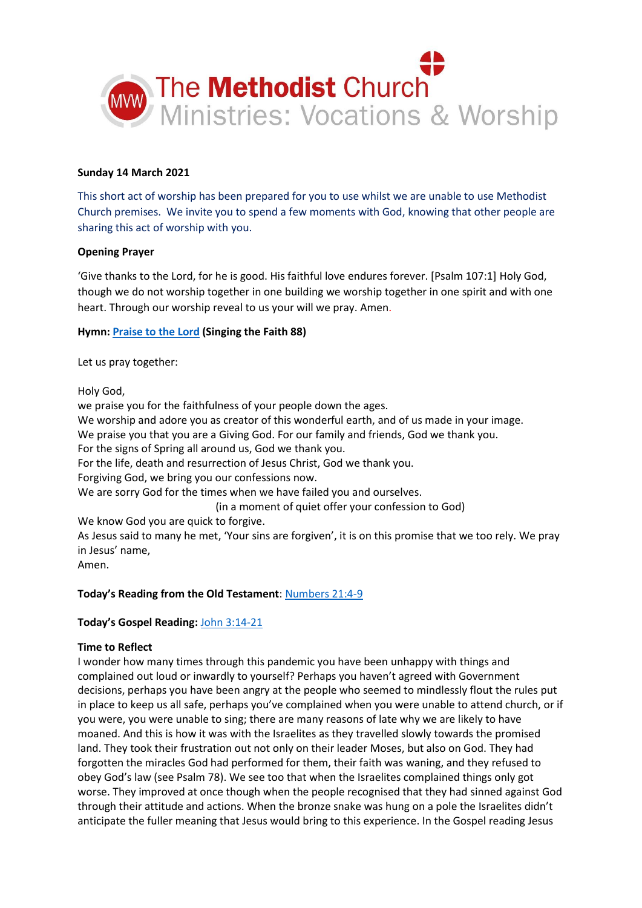

## **Sunday 14 March 2021**

This short act of worship has been prepared for you to use whilst we are unable to use Methodist Church premises. We invite you to spend a few moments with God, knowing that other people are sharing this act of worship with you.

#### **Opening Prayer**

'Give thanks to the Lord, for he is good. His faithful love endures forever. [Psalm 107:1] Holy God, though we do not worship together in one building we worship together in one spirit and with one heart. Through our worship reveal to us your will we pray. Amen.

## **Hymn[: Praise to the Lord](https://www.youtube.com/watch?v=BNq0WtMSmIY) (Singing the Faith 88)**

Let us pray together:

Holy God,

we praise you for the faithfulness of your people down the ages. We worship and adore you as creator of this wonderful earth, and of us made in your image. We praise you that you are a Giving God. For our family and friends, God we thank you. For the signs of Spring all around us, God we thank you. For the life, death and resurrection of Jesus Christ, God we thank you. Forgiving God, we bring you our confessions now. We are sorry God for the times when we have failed you and ourselves. (in a moment of quiet offer your confession to God) We know God you are quick to forgive. As Jesus said to many he met, 'Your sins are forgiven', it is on this promise that we too rely. We pray in Jesus' name,

Amen.

## **Today's Reading from the Old Testament**: [Numbers 21:4-9](https://www.biblegateway.com/passage/?search=Numbers+21%3A4-9&version=NIV)

## **Today's Gospel Reading:** [John 3:14-21](https://www.biblegateway.com/passage/?search=John+3%3A14-21&version=NIV)

#### **Time to Reflect**

I wonder how many times through this pandemic you have been unhappy with things and complained out loud or inwardly to yourself? Perhaps you haven't agreed with Government decisions, perhaps you have been angry at the people who seemed to mindlessly flout the rules put in place to keep us all safe, perhaps you've complained when you were unable to attend church, or if you were, you were unable to sing; there are many reasons of late why we are likely to have moaned. And this is how it was with the Israelites as they travelled slowly towards the promised land. They took their frustration out not only on their leader Moses, but also on God. They had forgotten the miracles God had performed for them, their faith was waning, and they refused to obey God's law (see Psalm 78). We see too that when the Israelites complained things only got worse. They improved at once though when the people recognised that they had sinned against God through their attitude and actions. When the bronze snake was hung on a pole the Israelites didn't anticipate the fuller meaning that Jesus would bring to this experience. In the Gospel reading Jesus